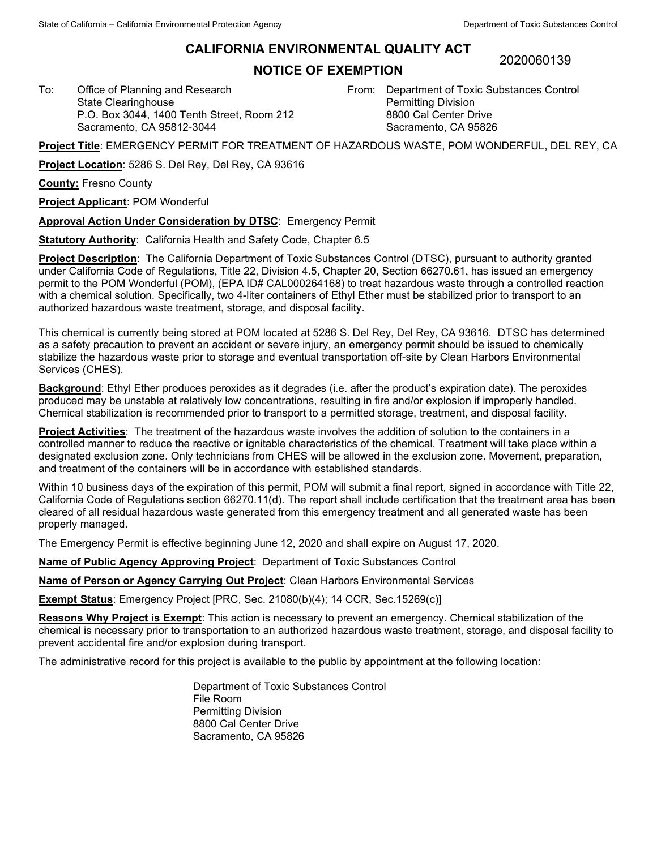## **CALIFORNIA ENVIRONMENTAL QUALITY ACT**

## **NOTICE OF EXEMPTION**

2020060139

From: Department of Toxic Substances Control Permitting Division 8800 Cal Center Drive Sacramento, CA 95826

**Project Title**: EMERGENCY PERMIT FOR TREATMENT OF HAZARDOUS WASTE, POM WONDERFUL, DEL REY, CA

**Project Location**: 5286 S. Del Rey, Del Rey, CA 93616

P.O. Box 3044, 1400 Tenth Street, Room 212

**County:** Fresno County

**Project Applicant**: POM Wonderful

To: Office of Planning and Research State Clearinghouse

Sacramento, CA 95812-3044

**Approval Action Under Consideration by DTSC**: Emergency Permit

**Statutory Authority**: California Health and Safety Code, Chapter 6.5

**Project Description**: The California Department of Toxic Substances Control (DTSC), pursuant to authority granted under California Code of Regulations, Title 22, Division 4.5, Chapter 20, Section 66270.61, has issued an emergency permit to the POM Wonderful (POM), (EPA ID# CAL000264168) to treat hazardous waste through a controlled reaction with a chemical solution. Specifically, two 4-liter containers of Ethyl Ether must be stabilized prior to transport to an authorized hazardous waste treatment, storage, and disposal facility.

This chemical is currently being stored at POM located at 5286 S. Del Rey, Del Rey, CA 93616. DTSC has determined as a safety precaution to prevent an accident or severe injury, an emergency permit should be issued to chemically stabilize the hazardous waste prior to storage and eventual transportation off-site by Clean Harbors Environmental Services (CHES).

**Background**: Ethyl Ether produces peroxides as it degrades (i.e. after the product's expiration date). The peroxides produced may be unstable at relatively low concentrations, resulting in fire and/or explosion if improperly handled. Chemical stabilization is recommended prior to transport to a permitted storage, treatment, and disposal facility.

**Project Activities**: The treatment of the hazardous waste involves the addition of solution to the containers in a controlled manner to reduce the reactive or ignitable characteristics of the chemical. Treatment will take place within a designated exclusion zone. Only technicians from CHES will be allowed in the exclusion zone. Movement, preparation, and treatment of the containers will be in accordance with established standards.

Within 10 business days of the expiration of this permit, POM will submit a final report, signed in accordance with Title 22, California Code of Regulations section 66270.11(d). The report shall include certification that the treatment area has been cleared of all residual hazardous waste generated from this emergency treatment and all generated waste has been properly managed.

The Emergency Permit is effective beginning June 12, 2020 and shall expire on August 17, 2020.

**Name of Public Agency Approving Project**: Department of Toxic Substances Control

**Name of Person or Agency Carrying Out Project**: Clean Harbors Environmental Services

**Exempt Status**: Emergency Project [PRC, Sec. 21080(b)(4); 14 CCR, Sec.15269(c)]

**Reasons Why Project is Exempt**: This action is necessary to prevent an emergency. Chemical stabilization of the chemical is necessary prior to transportation to an authorized hazardous waste treatment, storage, and disposal facility to prevent accidental fire and/or explosion during transport.

The administrative record for this project is available to the public by appointment at the following location:

Department of Toxic Substances Control File Room Permitting Division 8800 Cal Center Drive Sacramento, CA 95826